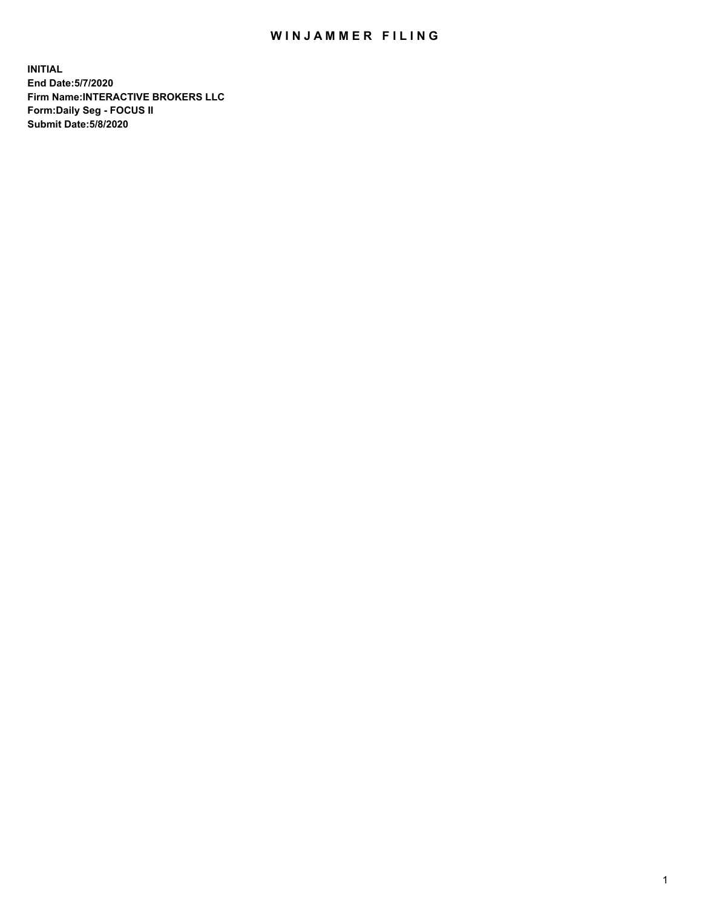## WIN JAMMER FILING

**INITIAL End Date:5/7/2020 Firm Name:INTERACTIVE BROKERS LLC Form:Daily Seg - FOCUS II Submit Date:5/8/2020**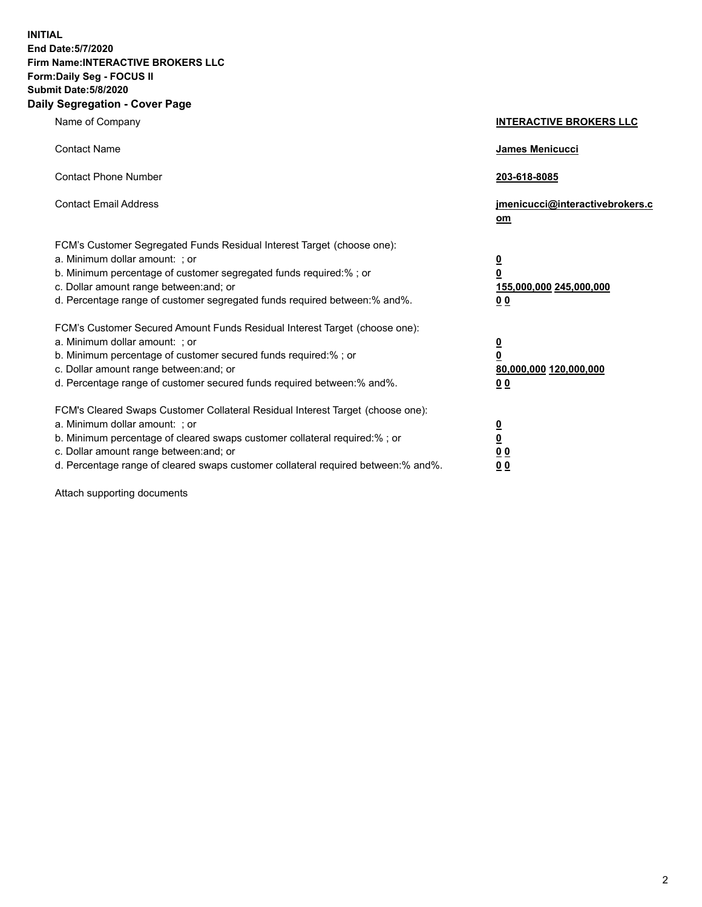**INITIAL End Date:5/7/2020 Firm Name:INTERACTIVE BROKERS LLC Form:Daily Seg - FOCUS II Submit Date:5/8/2020 Daily Segregation - Cover Page**

| Name of Company                                                                                                                                                                                                                                                                                                                | <b>INTERACTIVE BROKERS LLC</b>                                                                  |
|--------------------------------------------------------------------------------------------------------------------------------------------------------------------------------------------------------------------------------------------------------------------------------------------------------------------------------|-------------------------------------------------------------------------------------------------|
| <b>Contact Name</b>                                                                                                                                                                                                                                                                                                            | James Menicucci                                                                                 |
| <b>Contact Phone Number</b>                                                                                                                                                                                                                                                                                                    | 203-618-8085                                                                                    |
| <b>Contact Email Address</b>                                                                                                                                                                                                                                                                                                   | jmenicucci@interactivebrokers.c<br>om                                                           |
| FCM's Customer Segregated Funds Residual Interest Target (choose one):<br>a. Minimum dollar amount: : or<br>b. Minimum percentage of customer segregated funds required:% ; or<br>c. Dollar amount range between: and; or<br>d. Percentage range of customer segregated funds required between:% and%.                         | $\overline{\mathbf{0}}$<br>$\overline{\mathbf{0}}$<br>155,000,000 245,000,000<br>0 <sub>0</sub> |
| FCM's Customer Secured Amount Funds Residual Interest Target (choose one):<br>a. Minimum dollar amount: ; or<br>b. Minimum percentage of customer secured funds required:% ; or<br>c. Dollar amount range between: and; or<br>d. Percentage range of customer secured funds required between:% and%.                           | $\frac{0}{0}$<br>80,000,000 120,000,000<br>00                                                   |
| FCM's Cleared Swaps Customer Collateral Residual Interest Target (choose one):<br>a. Minimum dollar amount: ; or<br>b. Minimum percentage of cleared swaps customer collateral required:% ; or<br>c. Dollar amount range between: and; or<br>d. Percentage range of cleared swaps customer collateral required between:% and%. | $\overline{\mathbf{0}}$<br>$\underline{\mathbf{0}}$<br>0 <sub>0</sub><br>0 <sub>0</sub>         |

Attach supporting documents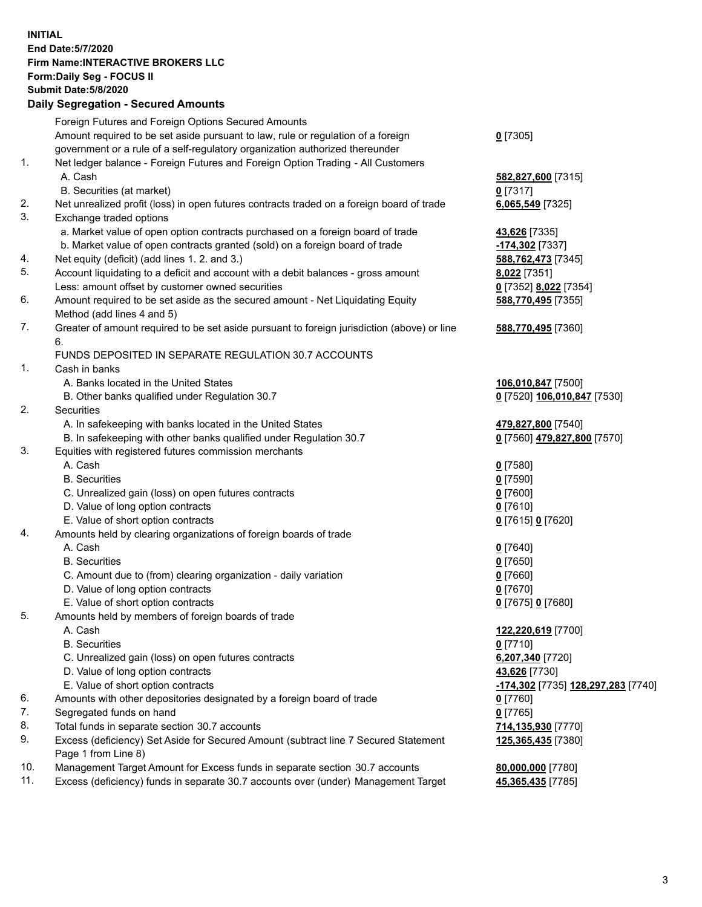## **INITIAL End Date:5/7/2020 Firm Name:INTERACTIVE BROKERS LLC Form:Daily Seg - FOCUS II Submit Date:5/8/2020 Daily Segregation - Secured Amounts**

|     | Daily Ocglegation - Occuled Anioants                                                                       |                                                 |
|-----|------------------------------------------------------------------------------------------------------------|-------------------------------------------------|
|     | Foreign Futures and Foreign Options Secured Amounts                                                        |                                                 |
|     | Amount required to be set aside pursuant to law, rule or regulation of a foreign                           | $0$ [7305]                                      |
|     | government or a rule of a self-regulatory organization authorized thereunder                               |                                                 |
| 1.  | Net ledger balance - Foreign Futures and Foreign Option Trading - All Customers                            |                                                 |
|     | A. Cash                                                                                                    | 582,827,600 [7315]                              |
|     | B. Securities (at market)                                                                                  | $0$ [7317]                                      |
| 2.  | Net unrealized profit (loss) in open futures contracts traded on a foreign board of trade                  | 6,065,549 [7325]                                |
| 3.  | Exchange traded options                                                                                    |                                                 |
|     | a. Market value of open option contracts purchased on a foreign board of trade                             | <b>43,626</b> [7335]                            |
|     | b. Market value of open contracts granted (sold) on a foreign board of trade                               | -174,302 [7337]                                 |
| 4.  | Net equity (deficit) (add lines 1. 2. and 3.)                                                              | 588,762,473 [7345]                              |
| 5.  | Account liquidating to a deficit and account with a debit balances - gross amount                          | 8,022 [7351]                                    |
|     | Less: amount offset by customer owned securities                                                           | 0 [7352] 8,022 [7354]                           |
| 6.  | Amount required to be set aside as the secured amount - Net Liquidating Equity                             | 588,770,495 [7355]                              |
|     | Method (add lines 4 and 5)                                                                                 |                                                 |
| 7.  | Greater of amount required to be set aside pursuant to foreign jurisdiction (above) or line                | 588,770,495 [7360]                              |
|     | 6.                                                                                                         |                                                 |
|     | FUNDS DEPOSITED IN SEPARATE REGULATION 30.7 ACCOUNTS                                                       |                                                 |
| 1.  | Cash in banks                                                                                              |                                                 |
|     | A. Banks located in the United States                                                                      | 106,010,847 [7500]                              |
|     | B. Other banks qualified under Regulation 30.7                                                             | 0 [7520] 106,010,847 [7530]                     |
| 2.  | Securities                                                                                                 |                                                 |
|     | A. In safekeeping with banks located in the United States                                                  | 479,827,800 [7540]                              |
|     | B. In safekeeping with other banks qualified under Regulation 30.7                                         | 0 [7560] 479,827,800 [7570]                     |
| 3.  | Equities with registered futures commission merchants                                                      |                                                 |
|     | A. Cash                                                                                                    | $0$ [7580]                                      |
|     | <b>B.</b> Securities                                                                                       | $0$ [7590]                                      |
|     | C. Unrealized gain (loss) on open futures contracts                                                        | $0$ [7600]                                      |
|     | D. Value of long option contracts                                                                          | $0$ [7610]                                      |
|     | E. Value of short option contracts                                                                         | 0 [7615] 0 [7620]                               |
| 4.  | Amounts held by clearing organizations of foreign boards of trade                                          |                                                 |
|     | A. Cash                                                                                                    | $0$ [7640]                                      |
|     | <b>B.</b> Securities                                                                                       | $0$ [7650]                                      |
|     | C. Amount due to (from) clearing organization - daily variation                                            | $0$ [7660]                                      |
|     | D. Value of long option contracts                                                                          | $0$ [7670]                                      |
|     | E. Value of short option contracts                                                                         | 0 [7675] 0 [7680]                               |
| 5.  | Amounts held by members of foreign boards of trade                                                         |                                                 |
|     | A. Cash                                                                                                    | 122,220,619 [7700]                              |
|     | <b>B.</b> Securities                                                                                       | $0$ [7710]                                      |
|     | C. Unrealized gain (loss) on open futures contracts                                                        | 6,207,340 [7720]                                |
|     | D. Value of long option contracts                                                                          | 43,626 [7730]                                   |
|     | E. Value of short option contracts                                                                         | <mark>-174,302</mark> [7735] 128,297,283 [7740] |
| 6.  | Amounts with other depositories designated by a foreign board of trade                                     | 0 [7760]                                        |
| 7.  | Segregated funds on hand                                                                                   | $0$ [7765]                                      |
| 8.  | Total funds in separate section 30.7 accounts                                                              | 714,135,930 [7770]                              |
| 9.  | Excess (deficiency) Set Aside for Secured Amount (subtract line 7 Secured Statement<br>Page 1 from Line 8) | 125,365,435 [7380]                              |
| 10. | Management Target Amount for Excess funds in separate section 30.7 accounts                                | 80,000,000 [7780]                               |
| 11. | Excess (deficiency) funds in separate 30.7 accounts over (under) Management Target                         | 45,365,435 [7785]                               |
|     |                                                                                                            |                                                 |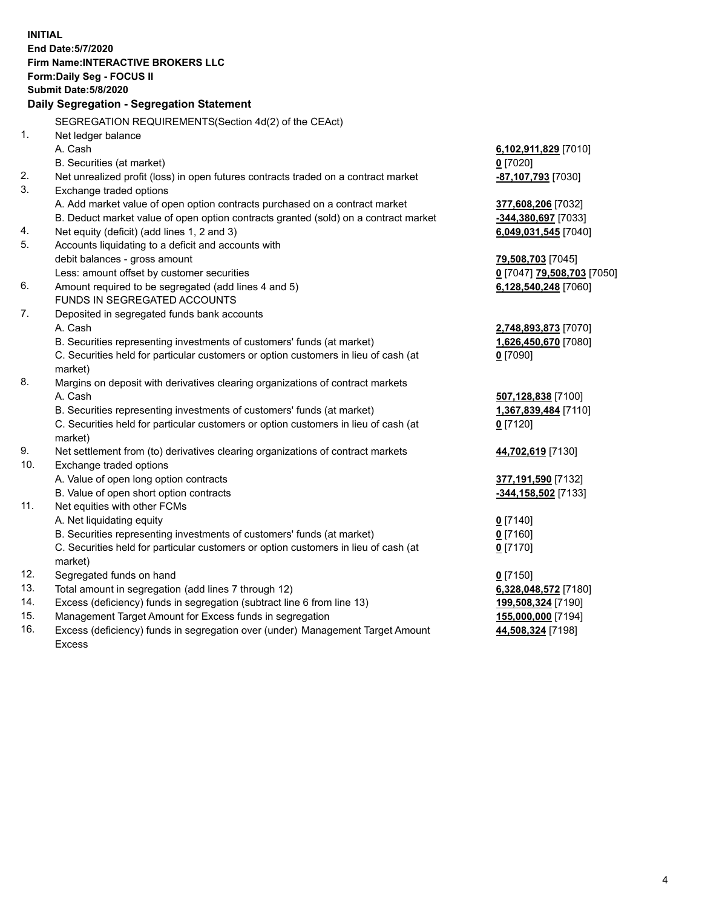**INITIAL End Date:5/7/2020 Firm Name:INTERACTIVE BROKERS LLC Form:Daily Seg - FOCUS II Submit Date:5/8/2020 Daily Segregation - Segregation Statement** SEGREGATION REQUIREMENTS(Section 4d(2) of the CEAct) 1. Net ledger balance A. Cash **6,102,911,829** [7010] B. Securities (at market) **0** [7020] 2. Net unrealized profit (loss) in open futures contracts traded on a contract market **-87,107,793** [7030] 3. Exchange traded options A. Add market value of open option contracts purchased on a contract market **377,608,206** [7032] B. Deduct market value of open option contracts granted (sold) on a contract market **-344,380,697** [7033] 4. Net equity (deficit) (add lines 1, 2 and 3) **6,049,031,545** [7040] 5. Accounts liquidating to a deficit and accounts with debit balances - gross amount **79,508,703** [7045] Less: amount offset by customer securities **0** [7047] **79,508,703** [7050] 6. Amount required to be segregated (add lines 4 and 5) **6,128,540,248** [7060] FUNDS IN SEGREGATED ACCOUNTS 7. Deposited in segregated funds bank accounts A. Cash **2,748,893,873** [7070] B. Securities representing investments of customers' funds (at market) **1,626,450,670** [7080] C. Securities held for particular customers or option customers in lieu of cash (at market) **0** [7090] 8. Margins on deposit with derivatives clearing organizations of contract markets A. Cash **507,128,838** [7100] B. Securities representing investments of customers' funds (at market) **1,367,839,484** [7110] C. Securities held for particular customers or option customers in lieu of cash (at market) **0** [7120] 9. Net settlement from (to) derivatives clearing organizations of contract markets **44,702,619** [7130] 10. Exchange traded options A. Value of open long option contracts **377,191,590** [7132] B. Value of open short option contracts **-344,158,502** [7133] 11. Net equities with other FCMs A. Net liquidating equity **0** [7140] B. Securities representing investments of customers' funds (at market) **0** [7160] C. Securities held for particular customers or option customers in lieu of cash (at market) **0** [7170] 12. Segregated funds on hand **0** [7150] 13. Total amount in segregation (add lines 7 through 12) **6,328,048,572** [7180] 14. Excess (deficiency) funds in segregation (subtract line 6 from line 13) **199,508,324** [7190] 15. Management Target Amount for Excess funds in segregation **155,000,000** [7194] **44,508,324** [7198]

16. Excess (deficiency) funds in segregation over (under) Management Target Amount Excess